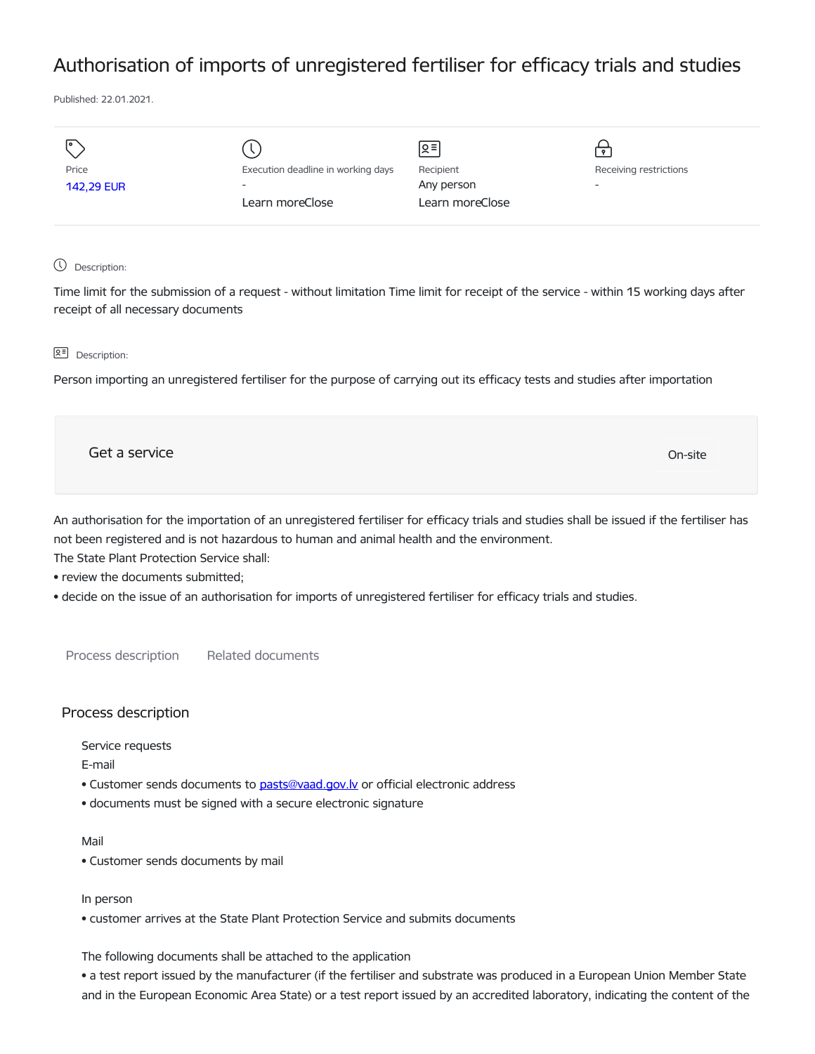# Authorisation of imports of unregistered fertiliser for efficacy trials and studies

Published: 22.01.2021.

| I۰                |                                    | $\sqrt{2}$      |                          |
|-------------------|------------------------------------|-----------------|--------------------------|
| Price             | Execution deadline in working days | Recipient       | Receiving restrictions   |
| <b>142,29 EUR</b> | $\overline{\phantom{a}}$           | Any person      | $\overline{\phantom{0}}$ |
|                   | Learn moreClose                    | Learn moreClose |                          |
|                   |                                    |                 |                          |

# Description:

Time limit for the submission of a request - without limitation Time limit for receipt of the service - within 15 working days after receipt of all necessary documents

#### **Q<sup></sup> Description:**

Person importing an unregistered fertiliser for the purpose of carrying out its efficacy tests and studies after importation

| Get a service | On-site |  |
|---------------|---------|--|
|               |         |  |

An authorisation for the importation of an unregistered fertiliser for efficacy trials and studies shall be issued if the fertiliser has not been registered and is not hazardous to human and animal health and the environment.

The State Plant Protection Service shall:

- review the documents submitted;
- decide on the issue of an authorisation for imports of unregistered fertiliser for efficacy trials and studies.

Process description Related documents

### Process description

Service requests

E-mail

- Customer sends documents to [pasts@vaad.gov.lv](mailto:pasts@vaad.gov.lv) or official electronic address
- documents must be signed with a secure electronic signature

#### Mail

• Customer sends documents by mail

#### In person

• customer arrives at the State Plant Protection Service and submits documents

The following documents shall be attached to the application

• a test report issued by the manufacturer (if the fertiliser and substrate was produced in a European Union Member State and in the European Economic Area State) or a test report issued by an accredited laboratory, indicating the content of the